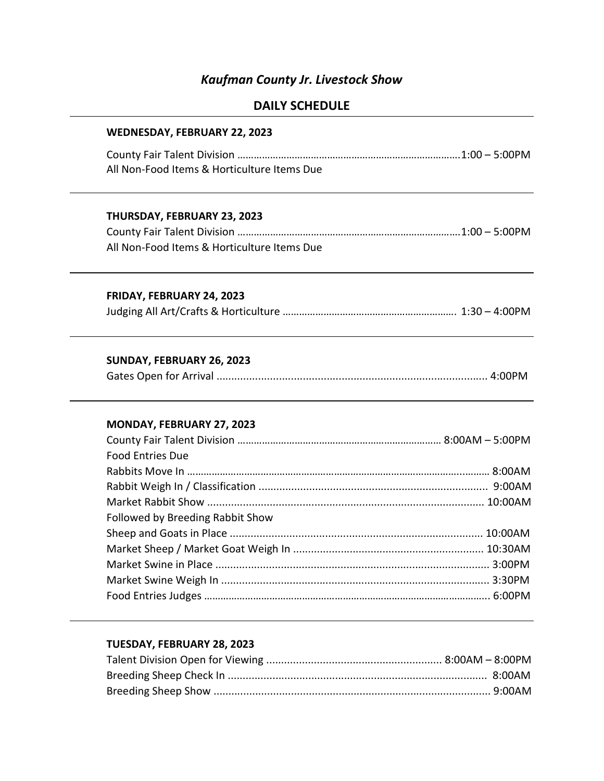# Kaufman County Jr. Livestock Show

# DAILY SCHEDULE

| WEDNESDAY, FEBRUARY 22, 2023                |  |
|---------------------------------------------|--|
|                                             |  |
| All Non-Food Items & Horticulture Items Due |  |
| THURSDAY, FEBRUARY 23, 2023                 |  |
|                                             |  |
| All Non-Food Items & Horticulture Items Due |  |
| FRIDAY, FEBRUARY 24, 2023                   |  |
|                                             |  |
| SUNDAY, FEBRUARY 26, 2023                   |  |
|                                             |  |
| MONDAY, FEBRUARY 27, 2023                   |  |
|                                             |  |
| <b>Food Entries Due</b>                     |  |
|                                             |  |
|                                             |  |
|                                             |  |
| Followed by Breeding Rabbit Show            |  |
|                                             |  |
|                                             |  |
|                                             |  |
|                                             |  |
|                                             |  |

## TUESDAY, FEBRUARY 28, 2023